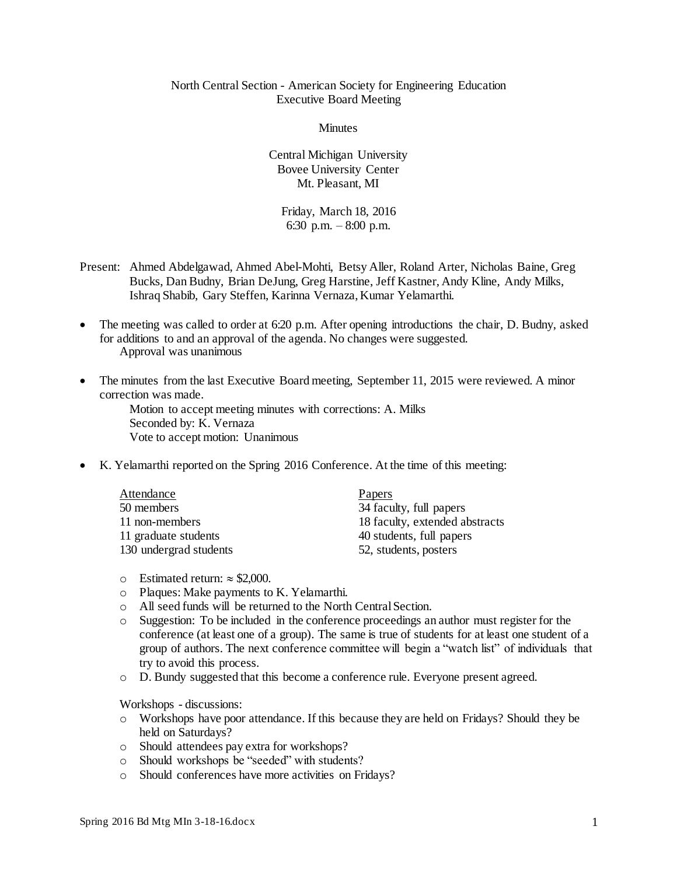## North Central Section - American Society for Engineering Education Executive Board Meeting

**Minutes** 

Central Michigan University Bovee University Center Mt. Pleasant, MI

Friday, March 18, 2016 6:30 p.m. – 8:00 p.m.

- Present: Ahmed Abdelgawad, Ahmed Abel-Mohti, Betsy Aller, Roland Arter, Nicholas Baine, Greg Bucks, Dan Budny, Brian DeJung, Greg Harstine, Jeff Kastner, Andy Kline, Andy Milks, Ishraq Shabib, Gary Steffen, Karinna Vernaza, Kumar Yelamarthi.
- The meeting was called to order at 6:20 p.m. After opening introductions the chair, D. Budny, asked for additions to and an approval of the agenda. No changes were suggested. Approval was unanimous
- The minutes from the last Executive Board meeting, September 11, 2015 were reviewed. A minor correction was made.

Motion to accept meeting minutes with corrections: A. Milks Seconded by: K. Vernaza Vote to accept motion: Unanimous

K. Yelamarthi reported on the Spring 2016 Conference. At the time of this meeting:

| Attendance             | Papers                         |
|------------------------|--------------------------------|
| 50 members             | 34 faculty, full papers        |
| 11 non-members         | 18 faculty, extended abstracts |
| 11 graduate students   | 40 students, full papers       |
| 130 undergrad students | 52, students, posters          |

- $\circ$  Estimated return:  $\approx$  \$2,000.
- o Plaques: Make payments to K. Yelamarthi.
- o All seed funds will be returned to the North Central Section.
- o Suggestion: To be included in the conference proceedings an author must register for the conference (at least one of a group). The same is true of students for at least one student of a group of authors. The next conference committee will begin a "watch list" of individuals that try to avoid this process.
- o D. Bundy suggested that this become a conference rule. Everyone present agreed.

Workshops - discussions:

- o Workshops have poor attendance. If this because they are held on Fridays? Should they be held on Saturdays?
- o Should attendees pay extra for workshops?
- o Should workshops be "seeded" with students?
- o Should conferences have more activities on Fridays?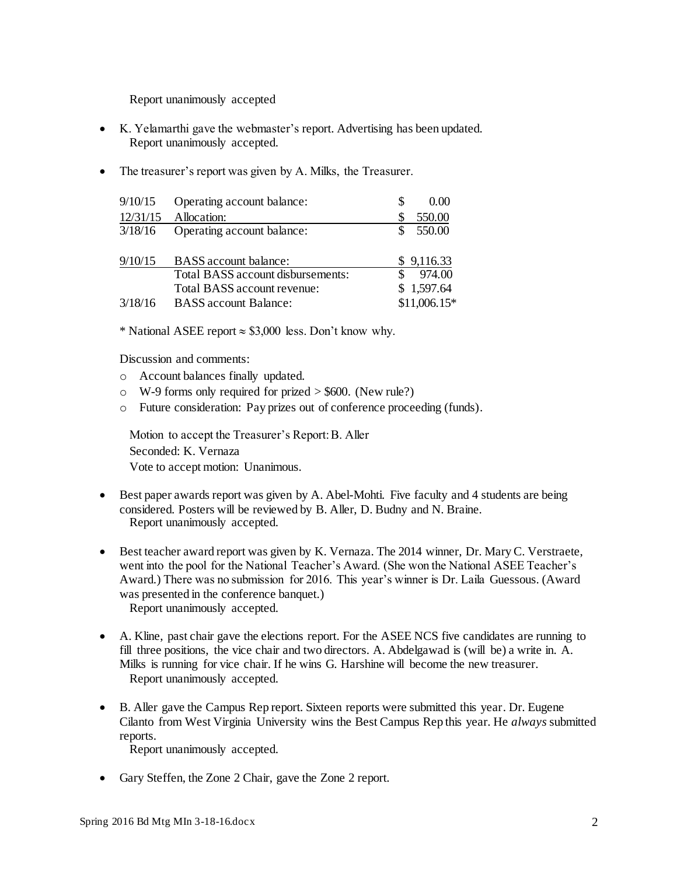Report unanimously accepted

- K. Yelamarthi gave the webmaster's report. Advertising has been updated. Report unanimously accepted.
- The treasurer's report was given by A. Milks, the Treasurer.

| 9/10/15  | Operating account balance:        | S | 0.00          |
|----------|-----------------------------------|---|---------------|
| 12/31/15 | Allocation:                       | S | 550.00        |
| 3/18/16  | Operating account balance:        |   | 550.00        |
| 9/10/15  | <b>BASS</b> account balance:      |   | \$9,116.33    |
|          | Total BASS account disbursements: |   | 974.00        |
|          | Total BASS account revenue:       |   | \$1,597.64    |
| 3/18/16  | <b>BASS</b> account Balance:      |   | $$11,006.15*$ |

\* National ASEE report  $\approx$  \$3,000 less. Don't know why.

Discussion and comments:

- o Account balances finally updated.
- $\circ$  W-9 forms only required for prized  $>$  \$600. (New rule?)
- o Future consideration: Pay prizes out of conference proceeding (funds).

Motion to accept the Treasurer's Report: B. Aller Seconded: K. Vernaza Vote to accept motion: Unanimous.

- Best paper awards report was given by A. Abel-Mohti. Five faculty and 4 students are being considered. Posters will be reviewed by B. Aller, D. Budny and N. Braine. Report unanimously accepted.
- Best teacher award report was given by K. Vernaza. The 2014 winner, Dr. Mary C. Verstraete, went into the pool for the National Teacher's Award. (She won the National ASEE Teacher's Award.) There was no submission for 2016. This year's winner is Dr. Laila Guessous. (Award was presented in the conference banquet.) Report unanimously accepted.
- A. Kline, past chair gave the elections report. For the ASEE NCS five candidates are running to fill three positions, the vice chair and two directors. A. Abdelgawad is (will be) a write in. A. Milks is running for vice chair. If he wins G. Harshine will become the new treasurer. Report unanimously accepted.
- B. Aller gave the Campus Rep report. Sixteen reports were submitted this year. Dr. Eugene Cilanto from West Virginia University wins the Best Campus Rep this year. He *always* submitted reports.

Report unanimously accepted.

• Gary Steffen, the Zone 2 Chair, gave the Zone 2 report.